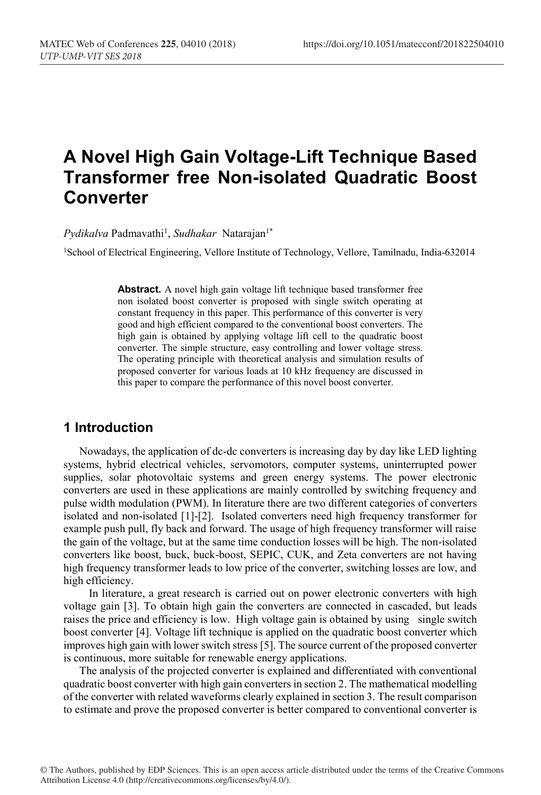# **A Novel High Gain Voltage-Lift Technique Based Transformer free Non-isolated Quadratic Boost Converter**

 $Pydikalva$  Padmavathi<sup>1</sup>, *Sudhakar* Natarajan<sup>1\*</sup>

1School of Electrical Engineering, Vellore Institute of Technology, Vellore, Tamilnadu, India-632014

**Abstract.** A novel high gain voltage lift technique based transformer free non isolated boost converter is proposed with single switch operating at constant frequency in this paper. This performance of this converter is very good and high efficient compared to the conventional boost converters. The high gain is obtained by applying voltage lift cell to the quadratic boost converter. The simple structure, easy controlling and lower voltage stress. The operating principle with theoretical analysis and simulation results of proposed converter for various loads at 10 kHz frequency are discussed in this paper to compare the performance of this novel boost converter.

## **1 Introduction**

Nowadays, the application of dc-dc converters is increasing day by day like LED lighting systems, hybrid electrical vehicles, servomotors, computer systems, uninterrupted power supplies, solar photovoltaic systems and green energy systems. The power electronic converters are used in these applications are mainly controlled by switching frequency and pulse width modulation (PWM). In literature there are two different categories of converters isolated and non-isolated [1]-[2]. Isolated converters need high frequency transformer for example push pull, fly back and forward. The usage of high frequency transformer will raise the gain of the voltage, but at the same time conduction losses will be high. The non-isolated converters like boost, buck, buck-boost, SEPIC, CUK, and Zeta converters are not having high frequency transformer leads to low price of the converter, switching losses are low, and high efficiency.

In literature, a great research is carried out on power electronic converters with high voltage gain [3]. To obtain high gain the converters are connected in cascaded, but leads raises the price and efficiency is low. High voltage gain is obtained by using single switch boost converter [4]. Voltage lift technique is applied on the quadratic boost converter which improves high gain with lower switch stress [5]. The source current of the proposed converter is continuous, more suitable for renewable energy applications.

The analysis of the projected converter is explained and differentiated with conventional quadratic boost converter with high gain converters in section 2. The mathematical modelling of the converter with related waveforms clearly explained in section 3. The result comparison to estimate and prove the proposed converter is better compared to conventional converter is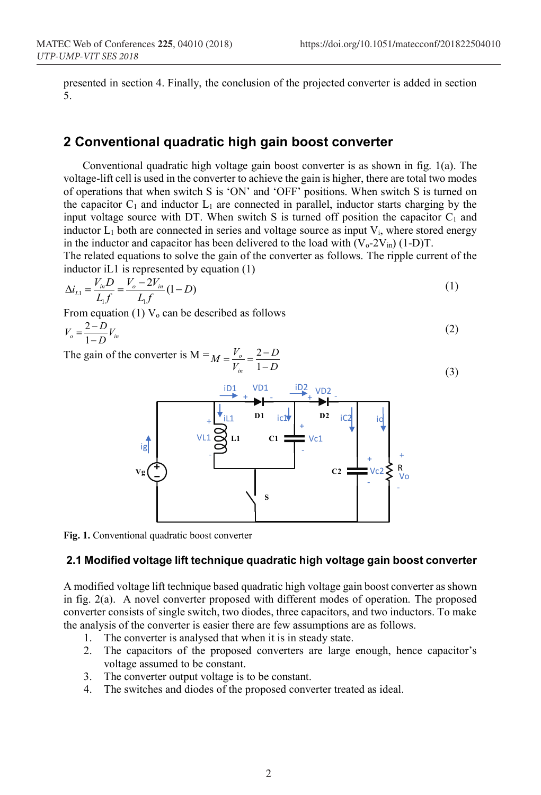(3)

presented in section 4. Finally, the conclusion of the projected converter is added in section 5.

## **2 Conventional quadratic high gain boost converter**

Conventional quadratic high voltage gain boost converter is as shown in fig. 1(a). The voltage-lift cell is used in the converter to achieve the gain is higher, there are total two modes of operations that when switch S is 'ON' and 'OFF' positions. When switch S is turned on the capacitor  $C_1$  and inductor  $L_1$  are connected in parallel, inductor starts charging by the input voltage source with DT. When switch S is turned off position the capacitor  $C_1$  and inductor  $L_1$  both are connected in series and voltage source as input  $V_i$ , where stored energy in the inductor and capacitor has been delivered to the load with  $(V_0-2V_{in})$  (1-D)T.

The related equations to solve the gain of the converter as follows. The ripple current of the inductor iL1 is represented by equation (1)

$$
\Delta i_{L1} = \frac{V_{in}D}{L_1 f} = \frac{V_o - 2V_{in}}{L_1 f} (1 - D)
$$
\n(1)

From equation (1)  $V_0$  can be described as follows

$$
V_o = \frac{2 - D}{1 - D} V_{in}
$$
 (2)

The gain of the converter is  $M =$ *D D*  $M = \frac{V}{V}$  $=\frac{V_o}{V_{in}}=\frac{2-}{1-}$ 



**Fig. 1.** Conventional quadratic boost converter

#### **2.1 Modified voltage lift technique quadratic high voltage gain boost converter**

A modified voltage lift technique based quadratic high voltage gain boost converter as shown in fig. 2(a). A novel converter proposed with different modes of operation. The proposed converter consists of single switch, two diodes, three capacitors, and two inductors. To make the analysis of the converter is easier there are few assumptions are as follows.

- 1. The converter is analysed that when it is in steady state.
- 2. The capacitors of the proposed converters are large enough, hence capacitor's voltage assumed to be constant.
- 3. The converter output voltage is to be constant.
- 4. The switches and diodes of the proposed converter treated as ideal.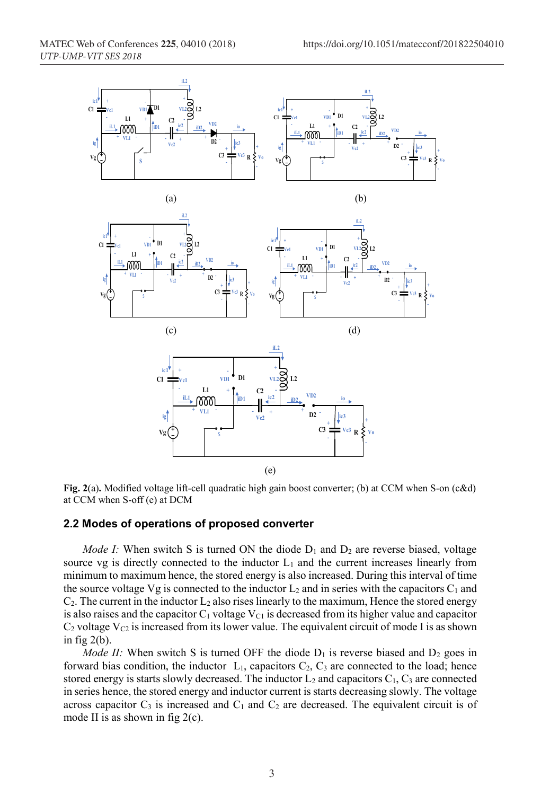

**Fig.** 2(a). Modified voltage lift-cell quadratic high gain boost converter; (b) at CCM when S-on (c&d) at CCM when S-off (e) at DCM

#### **2.2 Modes of operations of proposed converter**

*Mode I:* When switch S is turned ON the diode  $D_1$  and  $D_2$  are reverse biased, voltage source vg is directly connected to the inductor  $L_1$  and the current increases linearly from minimum to maximum hence, the stored energy is also increased. During this interval of time the source voltage Vg is connected to the inductor  $L_2$  and in series with the capacitors  $C_1$  and  $C_2$ . The current in the inductor  $L_2$  also rises linearly to the maximum, Hence the stored energy is also raises and the capacitor  $C_1$  voltage  $V_{C1}$  is decreased from its higher value and capacitor  $C_2$  voltage  $V_{C_2}$  is increased from its lower value. The equivalent circuit of mode I is as shown in fig  $2(b)$ .

*Mode II:* When switch S is turned OFF the diode  $D_1$  is reverse biased and  $D_2$  goes in forward bias condition, the inductor  $L_1$ , capacitors  $C_2$ ,  $C_3$  are connected to the load; hence stored energy is starts slowly decreased. The inductor  $L_2$  and capacitors  $C_1$ ,  $C_3$  are connected in series hence, the stored energy and inductor current is starts decreasing slowly. The voltage across capacitor  $C_3$  is increased and  $C_1$  and  $C_2$  are decreased. The equivalent circuit is of mode II is as shown in fig 2(c).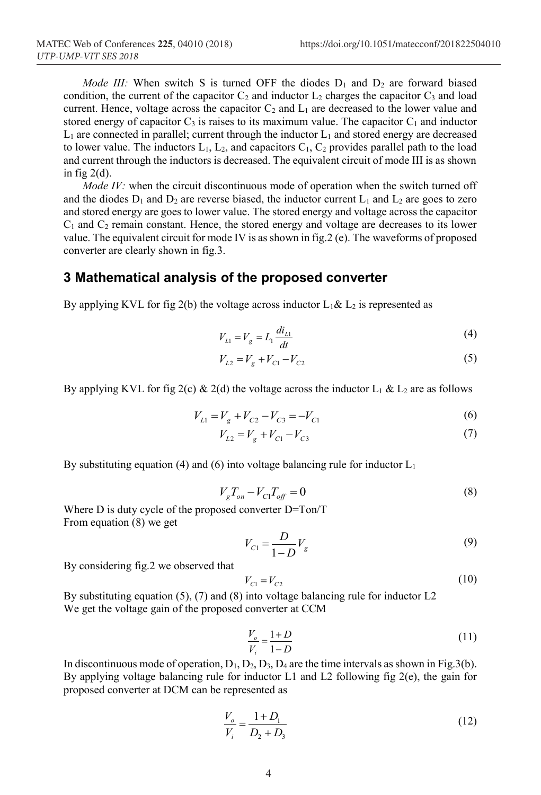*Mode III:* When switch S is turned OFF the diodes  $D_1$  and  $D_2$  are forward biased condition, the current of the capacitor  $C_2$  and inductor  $L_2$  charges the capacitor  $C_3$  and load current. Hence, voltage across the capacitor  $C_2$  and  $L_1$  are decreased to the lower value and stored energy of capacitor  $C_3$  is raises to its maximum value. The capacitor  $C_1$  and inductor  $L_1$  are connected in parallel; current through the inductor  $L_1$  and stored energy are decreased to lower value. The inductors  $L_1$ ,  $L_2$ , and capacitors  $C_1$ ,  $C_2$  provides parallel path to the load and current through the inductors is decreased. The equivalent circuit of mode III is as shown in fig  $2(d)$ .

*Mode IV:* when the circuit discontinuous mode of operation when the switch turned off and the diodes  $D_1$  and  $D_2$  are reverse biased, the inductor current  $L_1$  and  $L_2$  are goes to zero and stored energy are goes to lower value. The stored energy and voltage across the capacitor  $C_1$  and  $C_2$  remain constant. Hence, the stored energy and voltage are decreases to its lower value. The equivalent circuit for mode IV is as shown in fig.2 (e). The waveforms of proposed converter are clearly shown in fig.3.

## **3 Mathematical analysis of the proposed converter**

By applying KVL for fig 2(b) the voltage across inductor  $L_1 \& L_2$  is represented as

$$
V_{L1} = V_g = L_1 \frac{di_{L1}}{dt}
$$
 (4)

$$
V_{L2} = V_g + V_{C1} - V_{C2}
$$
\n<sup>(5)</sup>

By applying KVL for fig 2(c) & 2(d) the voltage across the inductor  $L_1$  &  $L_2$  are as follows

$$
V_{L1} = V_g + V_{C2} - V_{C3} = -V_{C1}
$$
\n<sup>(6)</sup>

$$
V_{L2} = V_g + V_{C1} - V_{C3} \tag{7}
$$

By substituting equation (4) and (6) into voltage balancing rule for inductor  $L_1$ 

$$
V_g T_{on} - V_{Cl} T_{off} = 0
$$
\n(8)

Where D is duty cycle of the proposed converter D=Ton/T From equation (8) we get

$$
V_{C1} = \frac{D}{1 - D} V_g
$$
 (9)

By considering fig.2 we observed that

$$
V_{C1} = V_{C2} \tag{10}
$$

By substituting equation (5), (7) and (8) into voltage balancing rule for inductor L2 We get the voltage gain of the proposed converter at CCM

$$
\frac{V_o}{V_i} = \frac{1+D}{1-D} \tag{11}
$$

In discontinuous mode of operation,  $D_1$ ,  $D_2$ ,  $D_3$ ,  $D_4$  are the time intervals as shown in Fig.3(b). By applying voltage balancing rule for inductor L1 and L2 following fig 2(e), the gain for proposed converter at DCM can be represented as

$$
\frac{V_o}{V_i} = \frac{1 + D_1}{D_2 + D_3} \tag{12}
$$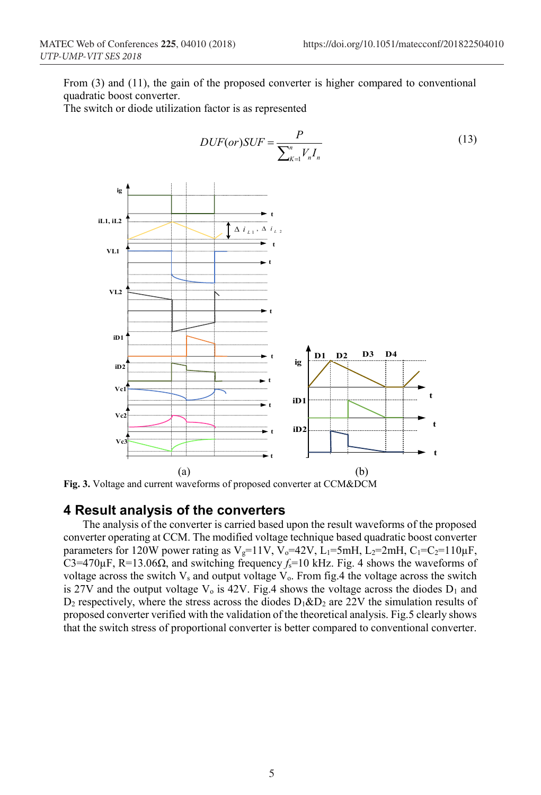From (3) and (11), the gain of the proposed converter is higher compared to conventional quadratic boost converter.

The switch or diode utilization factor is as represented



**Fig. 3.** Voltage and current waveforms of proposed converter at CCM&DCM

## **4 Result analysis of the converters**

The analysis of the converter is carried based upon the result waveforms of the proposed converter operating at CCM. The modified voltage technique based quadratic boost converter parameters for 120W power rating as V<sub>g</sub>=11V, V<sub>o</sub>=42V, L<sub>1</sub>=5mH, L<sub>2</sub>=2mH, C<sub>1</sub>=C<sub>2</sub>=110 $\mu$ F, C3=470 $\mu$ F, R=13.06 $\Omega$ , and switching frequency  $f_s$ =10 kHz. Fig. 4 shows the waveforms of voltage across the switch  $V_s$  and output voltage  $V_o$ . From fig.4 the voltage across the switch is 27V and the output voltage  $V_0$  is 42V. Fig.4 shows the voltage across the diodes  $D_1$  and  $D_2$  respectively, where the stress across the diodes  $D_1 \& D_2$  are 22V the simulation results of proposed converter verified with the validation of the theoretical analysis. Fig.5 clearly shows that the switch stress of proportional converter is better compared to conventional converter.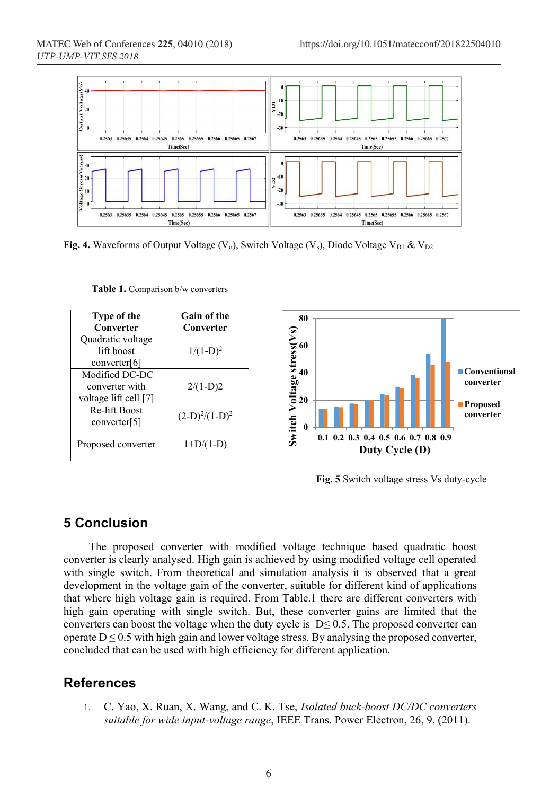

**Fig. 4.** Waveforms of Output Voltage  $(V_0)$ , Switch Voltage  $(V_s)$ , Diode Voltage  $V_{D1}$  &  $V_{D2}$ 

| Type of the<br>Converter                                  | <b>Gain of the</b><br>Converter |
|-----------------------------------------------------------|---------------------------------|
| Quadratic voltage<br>lift boost<br>converter[6]           | $1/(1-D)^2$                     |
| Modified DC-DC<br>converter with<br>voltage lift cell [7] | $2/(1-D)2$                      |
| Re-lift Boost<br>converter[5]                             | $(2-D)^2/(1-D)^2$               |
| Proposed converter                                        | $1+D/(1-D)$                     |

**Table 1.** Comparison b/w converters



**Fig. 5** Switch voltage stress Vs duty-cycle

## **5 Conclusion**

The proposed converter with modified voltage technique based quadratic boost converter is clearly analysed. High gain is achieved by using modified voltage cell operated with single switch. From theoretical and simulation analysis it is observed that a great development in the voltage gain of the converter, suitable for different kind of applications that where high voltage gain is required. From Table.1 there are different converters with high gain operating with single switch. But, these converter gains are limited that the converters can boost the voltage when the duty cycle is  $D \le 0.5$ . The proposed converter can operate  $D \le 0.5$  with high gain and lower voltage stress. By analysing the proposed converter, concluded that can be used with high efficiency for different application.

## **References**

1. C. Yao, X. Ruan, X. Wang, and C. K. Tse, *Isolated buck-boost DC/DC converters suitable for wide input-voltage range*, IEEE Trans. Power Electron, 26, 9, (2011).